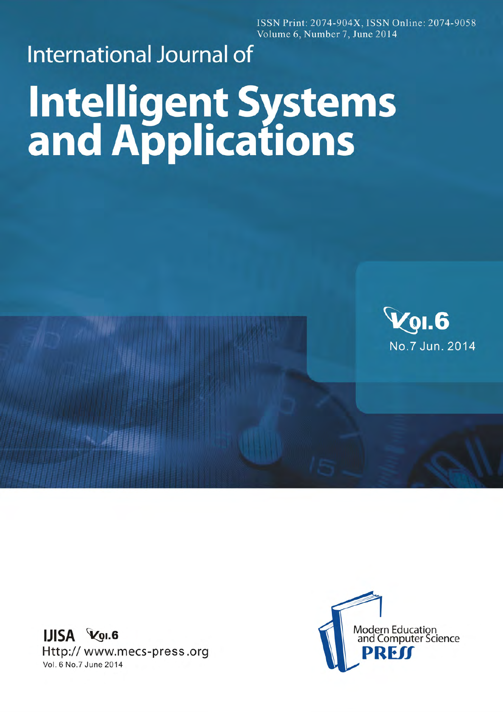ISSN Print: 2074-904X, ISSN Online: 2074-9058 Volume 6, Number 7, June 2014

## **International Journal of Intelligent Systems**<br>and Applications



**IJISA VOI.6** Http://www.mecs-press.org Vol. 6 No.7 June 2014

**NAMES**